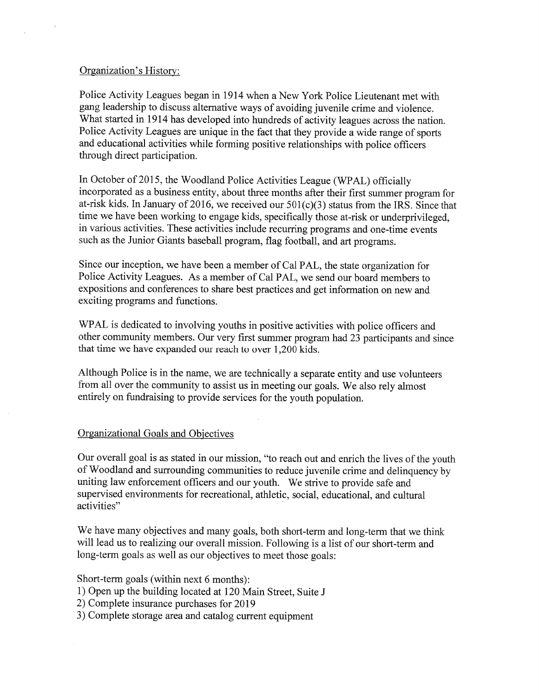## Organization's History:

Police Activity Leagues began in 1914 when a New York Police Lieutenant met with gang leadership to discuss alternative ways of avoiding juvenile crime and violence. What started in 1914 has developed into hundreds of activity leagues across the nation.<br>Police Activity Leagues are unique in the fact that they provide a wide range of sports and educational activities while forming positive relationships with police officers through direct participation.

In October of 2015, the Woodland Police Activities League (WPAL) officially incorporated as a business entity, about three months after their first summer program for at-risk kids. In January of 2016, we received our  $501(c)(3)$  status from the IRS. Since that time we have been working to engage kids, specifically those at-risk or underprivileged, in various activities. These activities include recurring programs and one-time events such as the Junior Giants baseball program, flag football, and art programs.

Since our inception, we have been a member of Cal PAL, the state organization for Police Activity Leagues. As a member of Cal PAL, we send our board members to expositions and conferences to share best practices and get information on new and exciting programs and fimctions.

WPAL is dedicated to involving youths in positive activities with police officers and other community members. Our very first summer program had 23 participants and since that time we have expanded our reach to over 1,200 kids.

Although Police is in the name, we are technically a separate entity and use volunteers from all over the community to assist us in meeting our goals. We also rely almost entirely on fundraising to provide services for the youth population.

# Organizational Goals and Objectives

Our overall goal is as stated in our mission, "to reach out and enrich the lives of the youth of Woodland and surrounding communities to reduce juvenile crime and delinquency by uniting law enforcement officers and our youth. We strive to provide safe and<br>supervised environments for recreational, athletic, social, educational, and cultural activities"

We have many objectives and many goals, both short-term and long-term that we think will lead us to realizing our overall mission. Following is a list of our short-term and long-term goals as well as our objectives to meet those goals:

Short-term goals (within next 6 months):

- 1) Open up the building located at 120 Main Street, Suite J
- 2) Complete insurance purchases for 2019
- 3) Complete storage area and catalog current equipment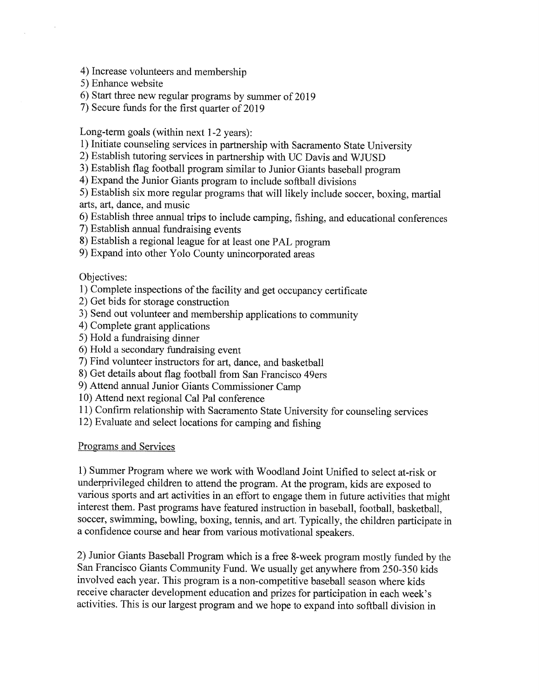4) Increase volunteers and membership

5) Enhance website

 $\bar{z}$ 

6) Start three new regular programs by summer of 2019

7) Secure funds for the first quarter of 2019

Long-term goals (within next 1-2 years):

1) Initiate counseling services in partnership with Sacramento State University 2) Establish tutoring services in partnership with UC Davis and WJUSD

3) Establish flag football program similar to Junior Giants baseball program

4) Expand the Junior Giants program to include softball divisions

5) Establish six more regular programs that will likely include soccer, boxing, martial arts, art, dance, and music

6) Establish three annual trips to include camping, fishing, and educational conferences

7) Establish annual fundraising events

8) Establish a regional league for at least one PAL program

9) Expand into other Yolo County unincorporated areas

### Objectives:

1) Complete inspections of the facility and get occupancy certificate

2) Get bids for storage construction

3) Send out volunteer and membership applications to community

4) Complete grant applications

5) Hold a fundraising dinner

6) Hold a secondary fundraising event

7) Find volunteer instructors for art, dance, and basketball

8) Get details about flag football from San Francisco 49ers

9) Attend annual Junior Giants Commissioner Camp

10) Attend next regional Cal Pal conference

11) Confirm relationship with Sacramento State University for counseling services

12) Evaluate and select locations for camping and fishing

### Programs and Services

1) Summer Program where we work with Woodland Joint Unified to select at-risk or underprivileged children to attend the program. At the program, kids are exposed to various sports and art activities in an effort to engage them in future activities that might soccer, swimming, bowling, boxing, tennis, and art. Typically, the children participate in a confidence course and hear from various motivational speakers.

2) Junior Giants Baseball Program which is a free 8-week program mostly funded by the San Francisco Giants Community Fund. We usually get anywhere from 250-350 kids involved each year. This program is a non-competitive bas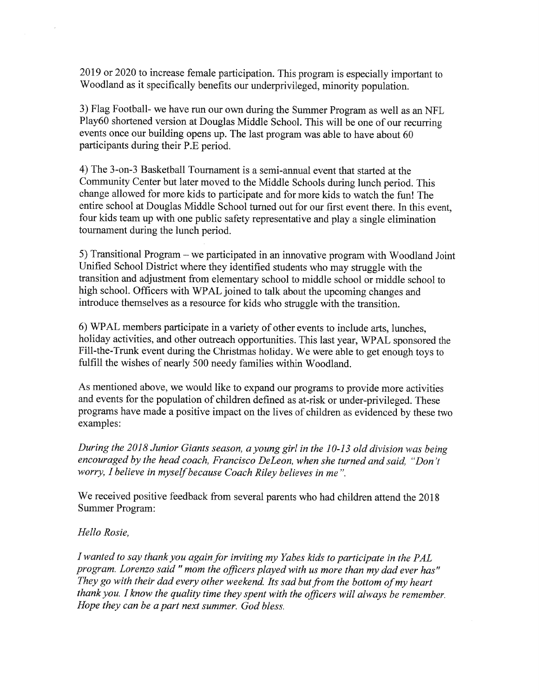2019 or 2020 to increase female participation. This program is especially important to Woodland as it specifically benefits our underprivileged, minority population.

3) Flag Football- we have run our own during the Summer Program as well as an NFL Play60 shortened version at Douglas Middle School. This will be one of our recurring events once our building opens up. The last program was able to have about 60 participants during their P.E period.

4) The 3-on-3 Basketball Tournament is a semi-annual event that started at the Community Center but later moved to the Middle Schools during limch period. This change allowed for more kids to participate and for more kids to watch the fun! The entire school at Douglas Middle School turned out for our first event there. In this event, four kids team up with one public safety representative and play a single elimination tournament during the lunch period.

5) Transitional Program - we participated in an innovative program with Woodland Joint Unified School District where they identified students who may struggle with the transition and adjustment from elementary school to middle school or middle school to high school. Officers with WPAL joined to talk about the upcoming changes and introduce themselves as a resource for kids who stmggle with the transition.

6) WPAL members participate in a variety of other events to include arts, lunches, holiday activities, and other outreach opportunities. This last year, WPAL sponsored the Fill-the-Tnmk event during the Christmas holiday. We were able to get enough toys to fulfill the wishes of nearly 500 needy families within Woodland.

As mentioned above, we would like to expand our programs to provide more activities and events for the population of children defined as at-risk or under-privileged. These programs have made a positive impact on the lives of children as evidenced by these two examples:

During the 2018 Junior Giants season, a young girl in the 10-13 old division was being encouraged by the head coach, Francisco DeLeon, when she turned and said, "Don't worry, I believe in myself because Coach Riley believes in me".

We received positive feedback from several parents who had children attend the 2018 Summer Program:

# Hello Rosie,

I wanted to say thank you again for inviting my Yabes kids to participate in the PAL program. Lorenzo said " mom the officers played with us more than my dad ever has" They go with their dad every other weekend. Its sad but from the bottom of my heart thank you. I know the quality time they spent with the officers will always be remember. Hope they can be a part next summer. God bless.